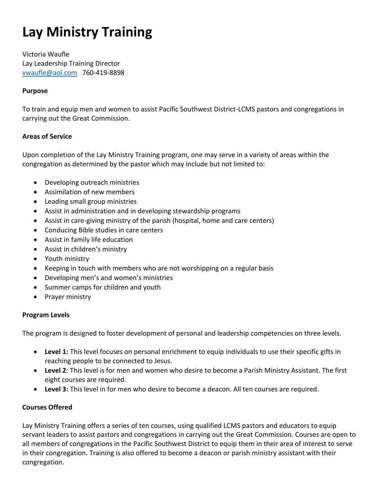# **Lay Ministry Training**

Victoria Waufle Lay Leadership Training Director [vwaufle@aol.com](mailto:vwaufle@aol.com) 760-419-8898

### **Purpose**

To train and equip men and women to assist Pacific Southwest District-LCMS pastors and congregations in carrying out the Great Commission.

#### **Areas of Service**

Upon completion of the Lay Ministry Training program, one may serve in a variety of areas within the congregation as determined by the pastor which may include but not limited to:

- Developing outreach ministries
- Assimilation of new members
- Leading small group ministries
- Assist in administration and in developing stewardship programs
- Assist in care-giving ministry of the parish (hospital, home and care centers)
- Conducing Bible studies in care centers
- Assist in family life education
- Assist in children's ministry
- Youth ministry
- Keeping in touch with members who are not worshipping on a regular basis
- Developing men's and women's ministries
- Summer camps for children and youth
- Prayer ministry

#### **Program Levels**

The program is designed to foster development of personal and leadership competencies on three levels.

- **Level 1:** This level focuses on personal enrichment to equip individuals to use their specific gifts in reaching people to be connected to Jesus.
- **Level 2**: This level is for men and women who desire to become a Parish Ministry Assistant. The first eight courses are required.
- **Level 3:** This level in for men who desire to become a deacon. All ten courses are required.

#### **Courses Offered**

Lay Ministry Training offers a series of ten courses, using qualified LCMS pastors and educators to equip servant leaders to assist pastors and congregations in carrying out the Great Commission. Courses are open to all members of congregations in the Pacific Southwest District to equip them in their area of interest to serve in their congregation. Training is also offered to become a deacon or parish ministry assistant with their congregation.